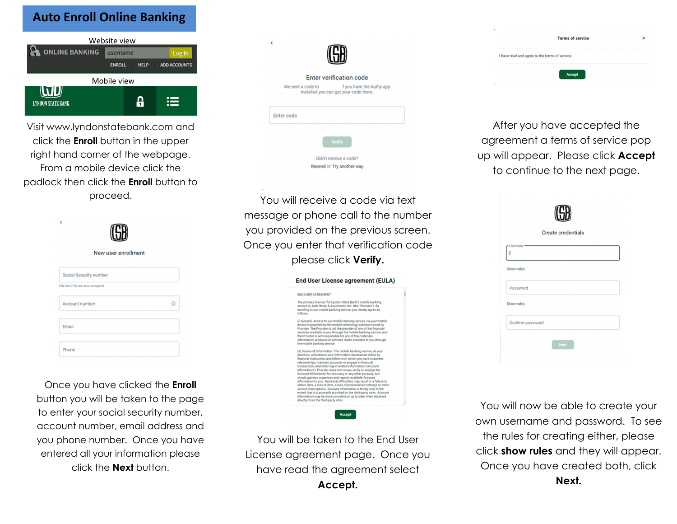### **Auto Enroll Online Banking**

|                                 | Website view  |             |                     |
|---------------------------------|---------------|-------------|---------------------|
| <b>ONLINE BANKING</b>           | username      |             | Log In              |
|                                 | <b>ENROLL</b> | <b>HELP</b> | <b>ADD ACCOUNTS</b> |
| Mobile view                     |               |             |                     |
| WOD<br><b>LYNDON STATE BANK</b> |               |             |                     |

Visit www.lyndonstatebank.com and click the **Enroll** button in the upper right hand corner of the webpage. From a mobile device click the padlock then click the **Enroll** button to proceed.

| Ć                             |         |
|-------------------------------|---------|
| New user enrollment           |         |
| Social Security number        |         |
| IN and ITIN are also accepted |         |
| Account number                | $\odot$ |
| Email                         |         |
| Phone                         |         |

Once you have clicked the **Enroll**  button you will be taken to the page to enter your social security number, account number, email address and you phone number. Once you have entered all your information please click the **Next** button.

| e |                                                                                         |
|---|-----------------------------------------------------------------------------------------|
|   | Enter verification code                                                                 |
|   | f you have the Authy app<br>We sent a code to<br>installed you can get your code there. |
|   | Enter code                                                                              |
|   | <b>Verify</b>                                                                           |
|   | Didn't receive a code?                                                                  |
|   | Resend or Try another way                                                               |

You will receive a code via text message or phone call to the number you provided on the previous screen. Once you enter that verification code please click **Verify.** 

| END USER AGREEMENT          |                                                                                                                                                                                                                                                                                                                                                                                                                                                                                                                                                                                                                                                                                                                                                                                                                                                                                          |
|-----------------------------|------------------------------------------------------------------------------------------------------------------------------------------------------------------------------------------------------------------------------------------------------------------------------------------------------------------------------------------------------------------------------------------------------------------------------------------------------------------------------------------------------------------------------------------------------------------------------------------------------------------------------------------------------------------------------------------------------------------------------------------------------------------------------------------------------------------------------------------------------------------------------------------|
| follows:                    | The primary licensor for Lyndon State Bank's mobile banking<br>service is Jack Henry & Associates, Inc. (the "Provider"), By<br>enrolling in our mobile banking service, you hereby agree as                                                                                                                                                                                                                                                                                                                                                                                                                                                                                                                                                                                                                                                                                             |
| the mobile banking service. | (i) General. Access to our mobile banking service via your mobile<br>device is powered by the mobile technology solution owned by<br>Provider. The Provider is not the provider of any of the financial<br>services available to you through the mobile banking service, and<br>the Provider is not responsible for any of the materials.<br>information, products or services made available to you through                                                                                                                                                                                                                                                                                                                                                                                                                                                                             |
|                             | (ii) Source of Information. The mobile banking service, at your<br>direction, will retrieve your information maintained online by<br>financial institutions and billers with which you have customer<br>relationships, maintain accounts or engage in financial<br>transactions and other log-in related information ("Account<br>Information"). Provider does not review, verify or analyze the<br>Account Information for accuracy or any other purpose, but<br>simply gathers, organizes and reports available Account<br>Information to you. Technical difficulties may result in a failure to<br>obtain data, a loss of data, a loss of personalized settings or other<br>service interruptions. Account Information is timely only to the<br>extent that it is promptly provided by the third-party sites. Account<br>Information may be more complete or up to date when obtained |

Accept

You will be taken to the End User License agreement page. Once you have read the agreement select **Accept.** 

| <b>Terms of service</b>                      | ×<br>× |
|----------------------------------------------|--------|
| have read and agree to the terms of service. |        |
| Accept                                       |        |

After you have accepted the agreement a terms of service pop up will appear. Please click **Accept**  to continue to the next page.

|                  | <b>Create credentials</b> |  |
|------------------|---------------------------|--|
| · Username       |                           |  |
| Show rules       |                           |  |
| Password         |                           |  |
| Show rules       |                           |  |
| Confirm password |                           |  |

You will now be able to create your own username and password. To see the rules for creating either, please click **show rules** and they will appear. Once you have created both, click **Next.**